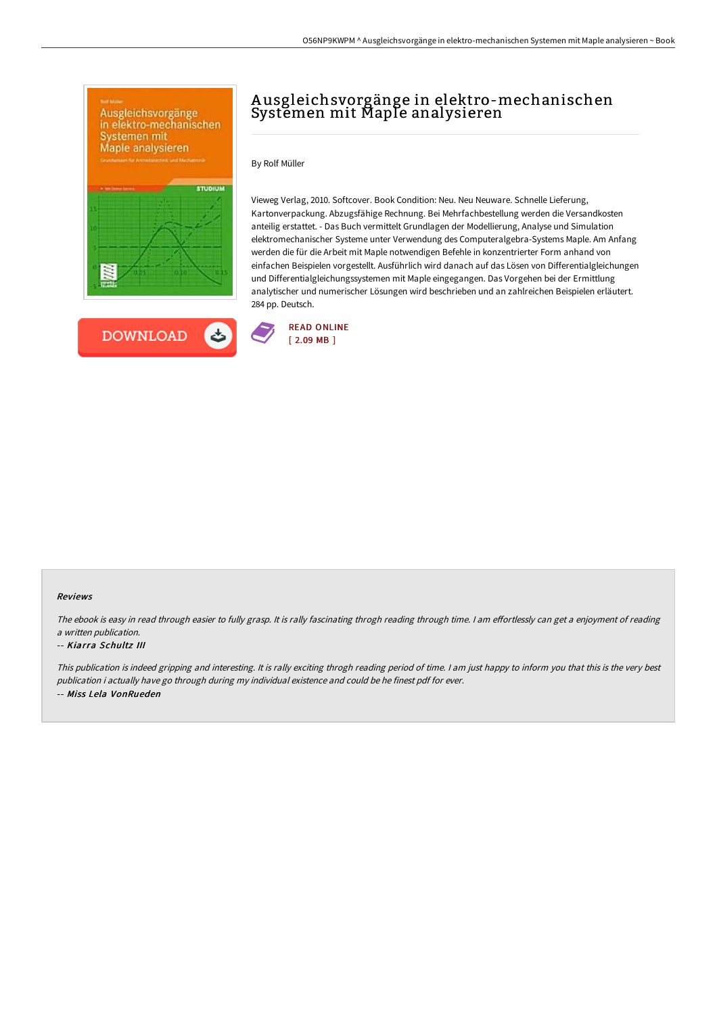

**DOWNLOAD** 

ٹ

# A usgleichsvorgänge in elektro-mechanischen Systemen mit Maple analysieren

By Rolf Müller

Vieweg Verlag, 2010. Softcover. Book Condition: Neu. Neu Neuware. Schnelle Lieferung, Kartonverpackung. Abzugsfähige Rechnung. Bei Mehrfachbestellung werden die Versandkosten anteilig erstattet. - Das Buch vermittelt Grundlagen der Modellierung, Analyse und Simulation elektromechanischer Systeme unter Verwendung des Computeralgebra-Systems Maple. Am Anfang werden die für die Arbeit mit Maple notwendigen Befehle in konzentrierter Form anhand von einfachen Beispielen vorgestellt. Ausführlich wird danach auf das Lösen von Differentialgleichungen und Differentialgleichungssystemen mit Maple eingegangen. Das Vorgehen bei der Ermittlung analytischer und numerischer Lösungen wird beschrieben und an zahlreichen Beispielen erläutert. 284 pp. Deutsch.



#### Reviews

The ebook is easy in read through easier to fully grasp. It is rally fascinating throgh reading through time. I am effortlessly can get a enjoyment of reading <sup>a</sup> written publication.

#### -- Kiarra Schultz III

This publication is indeed gripping and interesting. It is rally exciting throgh reading period of time. <sup>I</sup> am just happy to inform you that this is the very best publication i actually have go through during my individual existence and could be he finest pdf for ever. -- Miss Lela VonRueden